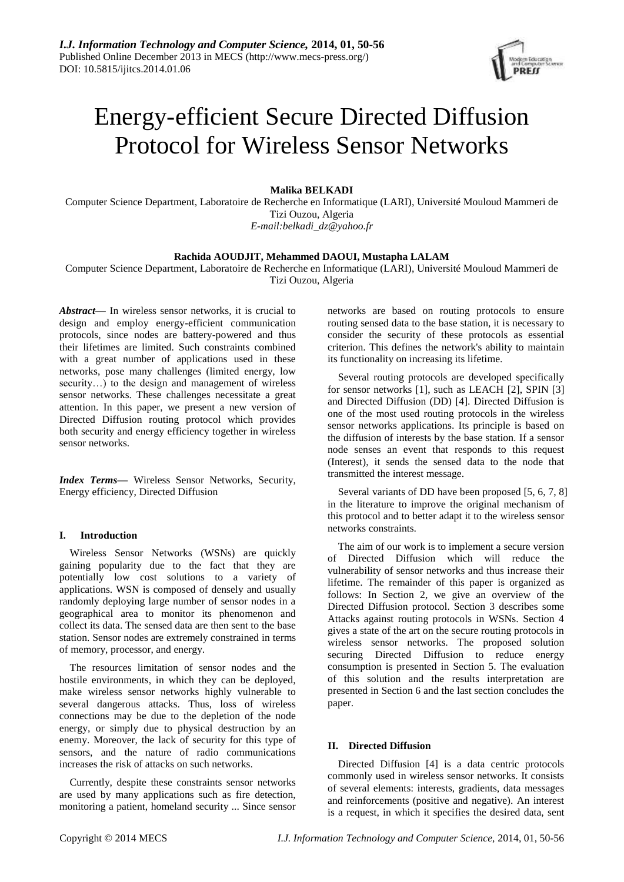

# Energy-efficient Secure Directed Diffusion Protocol for Wireless Sensor Networks

**Malika BELKADI**

Computer Science Department, Laboratoire de Recherche en Informatique (LARI), Université Mouloud Mammeri de Tizi Ouzou, Algeria *E-mail:belkadi\_dz@yahoo.fr*

## **Rachida AOUDJIT, Mehammed DAOUI, Mustapha LALAM**

Computer Science Department, Laboratoire de Recherche en Informatique (LARI), Université Mouloud Mammeri de Tizi Ouzou, Algeria

*Abstract***—** In wireless sensor networks, it is crucial to design and employ energy-efficient communication protocols, since nodes are battery-powered and thus their lifetimes are limited. Such constraints combined with a great number of applications used in these networks, pose many challenges (limited energy, low security…) to the design and management of wireless sensor networks. These challenges necessitate a great attention. In this paper, we present a new version of Directed Diffusion routing protocol which provides both security and energy efficiency together in wireless sensor networks.

*Index Terms***—** Wireless Sensor Networks, Security, Energy efficiency, Directed Diffusion

## **I. Introduction**

Wireless Sensor Networks (WSNs) are quickly gaining popularity due to the fact that they are potentially low cost solutions to a variety of applications. WSN is composed of densely and usually randomly deploying large number of sensor nodes in a geographical area to monitor its phenomenon and collect its data. The sensed data are then sent to the base station. Sensor nodes are extremely constrained in terms of memory, processor, and energy.

The resources limitation of sensor nodes and the hostile environments, in which they can be deployed, make wireless sensor networks highly vulnerable to several dangerous attacks. Thus, loss of wireless connections may be due to the depletion of the node energy, or simply due to physical destruction by an enemy. Moreover, the lack of security for this type of sensors, and the nature of radio communications increases the risk of attacks on such networks.

Currently, despite these constraints sensor networks are used by many applications such as fire detection, monitoring a patient, homeland security ... Since sensor networks are based on routing protocols to ensure routing sensed data to the base station, it is necessary to consider the security of these protocols as essential criterion. This defines the network's ability to maintain its functionality on increasing its lifetime.

Several routing protocols are developed specifically for sensor networks [1], such as LEACH [2], SPIN [3] and Directed Diffusion (DD) [4]. Directed Diffusion is one of the most used routing protocols in the wireless sensor networks applications. Its principle is based on the diffusion of interests by the base station. If a sensor node senses an event that responds to this request (Interest), it sends the sensed data to the node that transmitted the interest message.

Several variants of DD have been proposed  $[5, 6, 7, 8]$ in the literature to improve the original mechanism of this protocol and to better adapt it to the wireless sensor networks constraints.

The aim of our work is to implement a secure version of Directed Diffusion which will reduce the vulnerability of sensor networks and thus increase their lifetime. The remainder of this paper is organized as follows: In Section 2, we give an overview of the Directed Diffusion protocol. Section 3 describes some Attacks against routing protocols in WSNs. Section 4 gives a state of the art on the secure routing protocols in wireless sensor networks. The proposed solution securing Directed Diffusion to reduce energy consumption is presented in Section 5. The evaluation of this solution and the results interpretation are presented in Section 6 and the last section concludes the paper.

# **II. Directed Diffusion**

Directed Diffusion [4] is a data centric protocols commonly used in wireless sensor networks. It consists of several elements: interests, gradients, data messages and reinforcements (positive and negative). An interest is a request, in which it specifies the desired data, sent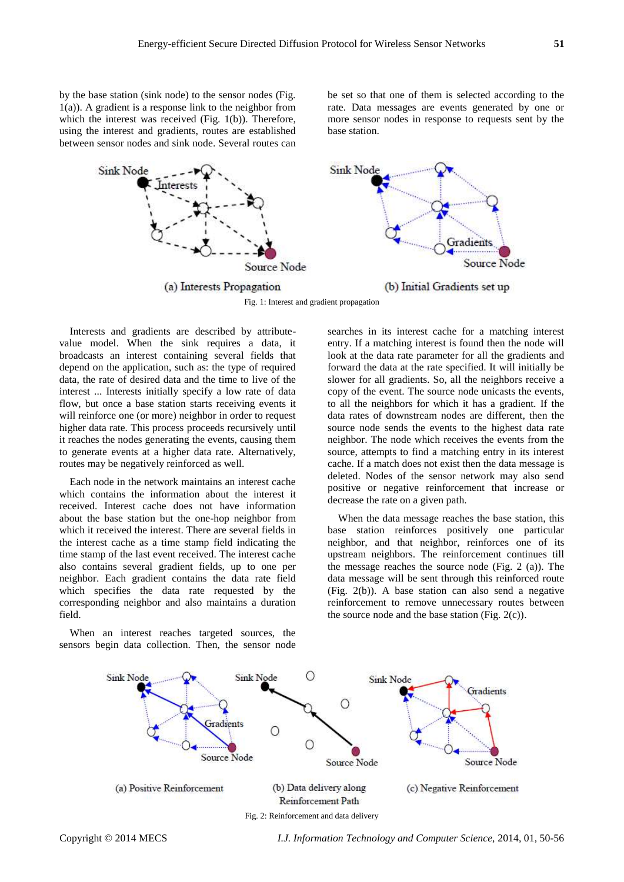by the base station (sink node) to the sensor nodes (Fig. 1(a)). A gradient is a response link to the neighbor from which the interest was received (Fig. 1(b)). Therefore, using the interest and gradients, routes are established between sensor nodes and sink node. Several routes can

be set so that one of them is selected according to the rate. Data messages are events generated by one or more sensor nodes in response to requests sent by the base station.



Interests and gradients are described by attributevalue model. When the sink requires a data, it broadcasts an interest containing several fields that depend on the application, such as: the type of required data, the rate of desired data and the time to live of the interest ... Interests initially specify a low rate of data flow, but once a base station starts receiving events it will reinforce one (or more) neighbor in order to request higher data rate. This process proceeds recursively until it reaches the nodes generating the events, causing them to generate events at a higher data rate. Alternatively, routes may be negatively reinforced as well.

Each node in the network maintains an interest cache which contains the information about the interest it received. Interest cache does not have information about the base station but the one-hop neighbor from which it received the interest. There are several fields in the interest cache as a time stamp field indicating the time stamp of the last event received. The interest cache also contains several gradient fields, up to one per neighbor. Each gradient contains the data rate field which specifies the data rate requested by the corresponding neighbor and also maintains a duration field.

When an interest reaches targeted sources, the sensors begin data collection. Then, the sensor node searches in its interest cache for a matching interest entry. If a matching interest is found then the node will look at the data rate parameter for all the gradients and forward the data at the rate specified. It will initially be slower for all gradients. So, all the neighbors receive a copy of the event. The source node unicasts the events, to all the neighbors for which it has a gradient. If the data rates of downstream nodes are different, then the source node sends the events to the highest data rate neighbor. The node which receives the events from the source, attempts to find a matching entry in its interest cache. If a match does not exist then the data message is deleted. Nodes of the sensor network may also send positive or negative reinforcement that increase or decrease the rate on a given path.

When the data message reaches the base station, this base station reinforces positively one particular neighbor, and that neighbor, reinforces one of its upstream neighbors. The reinforcement continues till the message reaches the source node (Fig. 2 (a)). The data message will be sent through this reinforced route (Fig. 2(b)). A base station can also send a negative reinforcement to remove unnecessary routes between the source node and the base station (Fig.  $2(c)$ ).

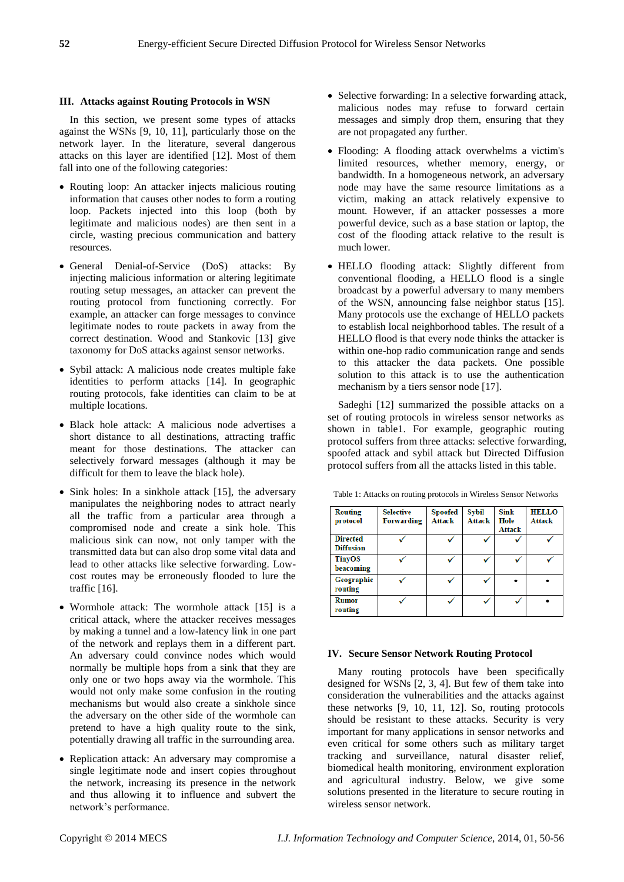# **III. Attacks against Routing Protocols in WSN**

In this section, we present some types of attacks against the WSNs [9, 10, 11], particularly those on the network layer. In the literature, several dangerous attacks on this layer are identified [12]. Most of them fall into one of the following categories:

- Routing loop: An attacker injects malicious routing information that causes other nodes to form a routing loop. Packets injected into this loop (both by legitimate and malicious nodes) are then sent in a circle, wasting precious communication and battery resources.
- General Denial-of-Service (DoS) attacks: By injecting malicious information or altering legitimate routing setup messages, an attacker can prevent the routing protocol from functioning correctly. For example, an attacker can forge messages to convince legitimate nodes to route packets in away from the correct destination. Wood and Stankovic [13] give taxonomy for DoS attacks against sensor networks.
- Sybil attack: A malicious node creates multiple fake identities to perform attacks [14]. In geographic routing protocols, fake identities can claim to be at multiple locations.
- Black hole attack: A malicious node advertises a short distance to all destinations, attracting traffic meant for those destinations. The attacker can selectively forward messages (although it may be difficult for them to leave the black hole).
- Sink holes: In a sinkhole attack [15], the adversary manipulates the neighboring nodes to attract nearly all the traffic from a particular area through a compromised node and create a sink hole. This malicious sink can now, not only tamper with the transmitted data but can also drop some vital data and lead to other attacks like selective forwarding. Lowcost routes may be erroneously flooded to lure the traffic [16].
- Wormhole attack: The wormhole attack [15] is a critical attack, where the attacker receives messages by making a tunnel and a low-latency link in one part of the network and replays them in a different part. An adversary could convince nodes which would normally be multiple hops from a sink that they are only one or two hops away via the wormhole. This would not only make some confusion in the routing mechanisms but would also create a sinkhole since the adversary on the other side of the wormhole can pretend to have a high quality route to the sink, potentially drawing all traffic in the surrounding area.
- Replication attack: An adversary may compromise a single legitimate node and insert copies throughout the network, increasing its presence in the network and thus allowing it to influence and subvert the network's performance.
- Selective forwarding: In a selective forwarding attack, malicious nodes may refuse to forward certain messages and simply drop them, ensuring that they are not propagated any further.
- Flooding: A flooding attack overwhelms a victim's limited resources, whether memory, energy, or bandwidth. In a homogeneous network, an adversary node may have the same resource limitations as a victim, making an attack relatively expensive to mount. However, if an attacker possesses a more powerful device, such as a base station or laptop, the cost of the flooding attack relative to the result is much lower.
- HELLO flooding attack: Slightly different from conventional flooding, a HELLO flood is a single broadcast by a powerful adversary to many members of the WSN, announcing false neighbor status [15]. Many protocols use the exchange of HELLO packets to establish local neighborhood tables. The result of a HELLO flood is that every node thinks the attacker is within one-hop radio communication range and sends to this attacker the data packets. One possible solution to this attack is to use the authentication mechanism by a tiers sensor node [17].

Sadeghi [12] summarized the possible attacks on a set of routing protocols in wireless sensor networks as shown in table1. For example, geographic routing protocol suffers from three attacks: selective forwarding, spoofed attack and sybil attack but Directed Diffusion protocol suffers from all the attacks listed in this table.

| <b>Routing</b><br>protocol          | <b>Selective</b><br>Forwarding | <b>Spoofed</b><br><b>Attack</b> | Sybil<br><b>Attack</b> | Sink<br>Hole<br>Attack | <b>HELLO</b><br>Attack |
|-------------------------------------|--------------------------------|---------------------------------|------------------------|------------------------|------------------------|
| <b>Directed</b><br><b>Diffusion</b> |                                |                                 |                        |                        |                        |
| <b>TinyOS</b><br>beacoming          |                                |                                 |                        |                        |                        |
| Geographic<br>routing               |                                |                                 |                        |                        |                        |
| <b>Rumor</b><br>routing             |                                |                                 |                        |                        |                        |

Table 1: Attacks on routing protocols in Wireless Sensor Networks

## **IV. Secure Sensor Network Routing Protocol**

Many routing protocols have been specifically designed for WSNs [2, 3, 4]. But few of them take into consideration the vulnerabilities and the attacks against these networks [9, 10, 11, 12]. So, routing protocols should be resistant to these attacks. Security is very important for many applications in sensor networks and even critical for some others such as military target tracking and surveillance, natural disaster relief, biomedical health monitoring, environment exploration and agricultural industry. Below, we give some solutions presented in the literature to secure routing in wireless sensor network.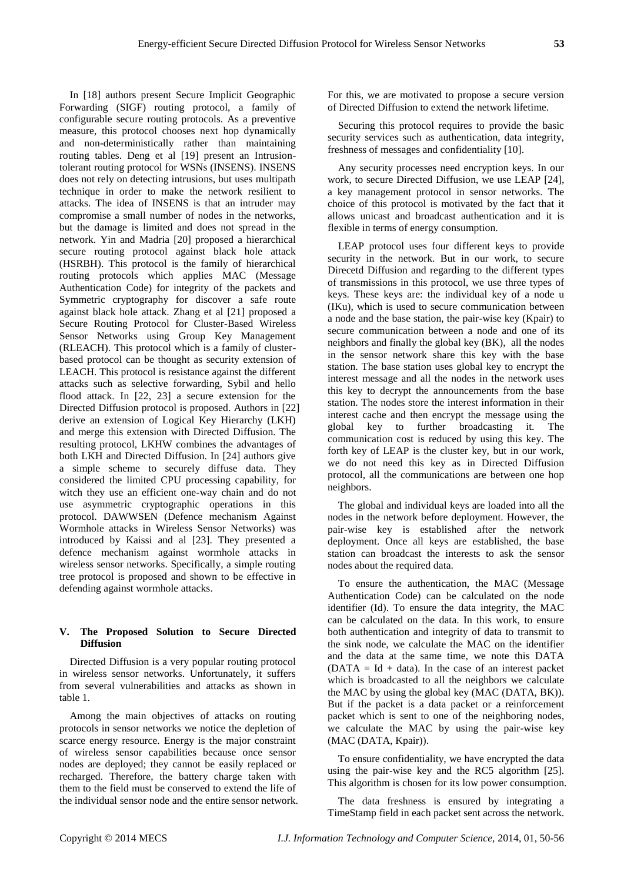In [18] authors present Secure Implicit Geographic Forwarding (SIGF) routing protocol, a family of configurable secure routing protocols. As a preventive measure, this protocol chooses next hop dynamically and non-deterministically rather than maintaining routing tables. Deng et al [19] present an Intrusiontolerant routing protocol for WSNs (INSENS). INSENS does not rely on detecting intrusions, but uses multipath technique in order to make the network resilient to attacks. The idea of INSENS is that an intruder may compromise a small number of nodes in the networks, but the damage is limited and does not spread in the network. Yin and Madria [20] proposed a hierarchical secure routing protocol against black hole attack (HSRBH). This protocol is the family of hierarchical routing protocols which applies MAC (Message Authentication Code) for integrity of the packets and Symmetric cryptography for discover a safe route against black hole attack. Zhang et al [21] proposed a Secure Routing Protocol for Cluster-Based Wireless Sensor Networks using Group Key Management (RLEACH). This protocol which is a family of clusterbased protocol can be thought as security extension of LEACH. This protocol is resistance against the different attacks such as selective forwarding, Sybil and hello flood attack. In [22, 23] a secure extension for the Directed Diffusion protocol is proposed. Authors in [22] derive an extension of Logical Key Hierarchy (LKH) and merge this extension with Directed Diffusion. The resulting protocol, LKHW combines the advantages of both LKH and Directed Diffusion. In [24] authors give a simple scheme to securely diffuse data. They considered the limited CPU processing capability, for witch they use an efficient one-way chain and do not use asymmetric cryptographic operations in this protocol. DAWWSEN (Defence mechanism Against Wormhole attacks in Wireless Sensor Networks) was introduced by Kaissi and al [23]. They presented a defence mechanism against wormhole attacks in wireless sensor networks. Specifically, a simple routing tree protocol is proposed and shown to be effective in defending against wormhole attacks.

# **V. The Proposed Solution to Secure Directed Diffusion**

Directed Diffusion is a very popular routing protocol in wireless sensor networks. Unfortunately, it suffers from several vulnerabilities and attacks as shown in table 1.

Among the main objectives of attacks on routing protocols in sensor networks we notice the depletion of scarce energy resource. Energy is the major constraint of wireless sensor capabilities because once sensor nodes are deployed; they cannot be easily replaced or recharged. Therefore, the battery charge taken with them to the field must be conserved to extend the life of the individual sensor node and the entire sensor network. For this, we are motivated to propose a secure version of Directed Diffusion to extend the network lifetime.

Securing this protocol requires to provide the basic security services such as authentication, data integrity, freshness of messages and confidentiality [10].

Any security processes need encryption keys. In our work, to secure Directed Diffusion, we use LEAP [24], a key management protocol in sensor networks. The choice of this protocol is motivated by the fact that it allows unicast and broadcast authentication and it is flexible in terms of energy consumption.

LEAP protocol uses four different keys to provide security in the network. But in our work, to secure Direcetd Diffusion and regarding to the different types of transmissions in this protocol, we use three types of keys. These keys are: the individual key of a node u (IKu), which is used to secure communication between a node and the base station, the pair-wise key (Kpair) to secure communication between a node and one of its neighbors and finally the global key (BK), all the nodes in the sensor network share this key with the base station. The base station uses global key to encrypt the interest message and all the nodes in the network uses this key to decrypt the announcements from the base station. The nodes store the interest information in their interest cache and then encrypt the message using the global key to further broadcasting it. The communication cost is reduced by using this key. The forth key of LEAP is the cluster key, but in our work, we do not need this key as in Directed Diffusion protocol, all the communications are between one hop neighbors.

The global and individual keys are loaded into all the nodes in the network before deployment. However, the pair-wise key is established after the network deployment. Once all keys are established, the base station can broadcast the interests to ask the sensor nodes about the required data.

To ensure the authentication, the MAC (Message Authentication Code) can be calculated on the node identifier (Id). To ensure the data integrity, the MAC can be calculated on the data. In this work, to ensure both authentication and integrity of data to transmit to the sink node, we calculate the MAC on the identifier and the data at the same time, we note this DATA  $(DATA = Id + data)$ . In the case of an interest packet which is broadcasted to all the neighbors we calculate the MAC by using the global key (MAC (DATA, BK)). But if the packet is a data packet or a reinforcement packet which is sent to one of the neighboring nodes, we calculate the MAC by using the pair-wise key (MAC (DATA, Kpair)).

To ensure confidentiality, we have encrypted the data using the pair-wise key and the RC5 algorithm [25]. This algorithm is chosen for its low power consumption.

The data freshness is ensured by integrating a TimeStamp field in each packet sent across the network.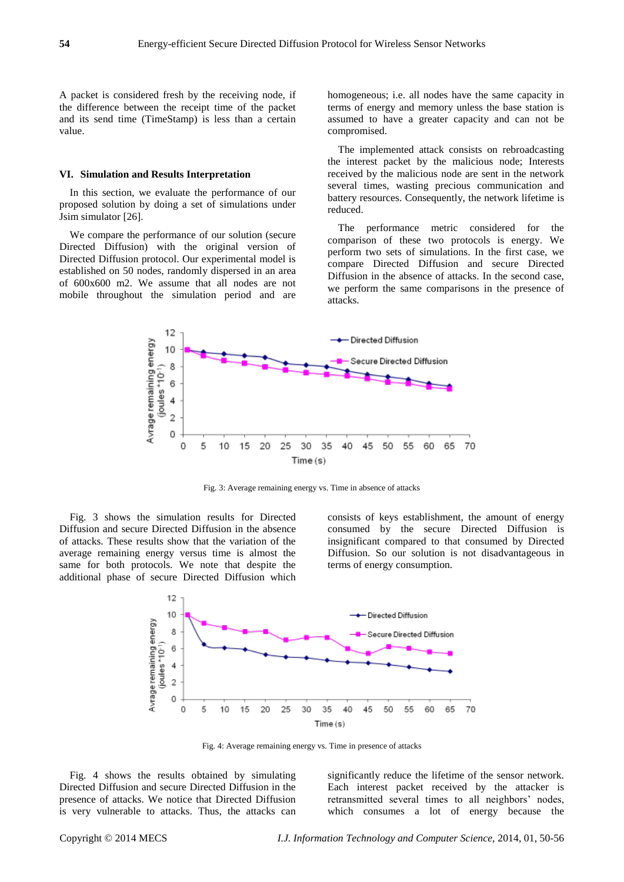A packet is considered fresh by the receiving node, if the difference between the receipt time of the packet and its send time (TimeStamp) is less than a certain value.

### **VI. Simulation and Results Interpretation**

In this section, we evaluate the performance of our proposed solution by doing a set of simulations under Jsim simulator [26].

We compare the performance of our solution (secure Directed Diffusion) with the original version of Directed Diffusion protocol. Our experimental model is established on 50 nodes, randomly dispersed in an area of 600x600 m2. We assume that all nodes are not mobile throughout the simulation period and are

homogeneous; i.e. all nodes have the same capacity in terms of energy and memory unless the base station is assumed to have a greater capacity and can not be compromised.

The implemented attack consists on rebroadcasting the interest packet by the malicious node; Interests received by the malicious node are sent in the network several times, wasting precious communication and battery resources. Consequently, the network lifetime is reduced.

The performance metric considered for the comparison of these two protocols is energy. We perform two sets of simulations. In the first case, we compare Directed Diffusion and secure Directed Diffusion in the absence of attacks. In the second case, we perform the same comparisons in the presence of attacks.



Fig. 3: Average remaining energy vs. Time in absence of attacks

Fig. 3 shows the simulation results for Directed Diffusion and secure Directed Diffusion in the absence of attacks. These results show that the variation of the average remaining energy versus time is almost the same for both protocols. We note that despite the additional phase of secure Directed Diffusion which

consists of keys establishment, the amount of energy consumed by the secure Directed Diffusion is insignificant compared to that consumed by Directed Diffusion. So our solution is not disadvantageous in terms of energy consumption.



Fig. 4: Average remaining energy vs. Time in presence of attacks

Fig. 4 shows the results obtained by simulating Directed Diffusion and secure Directed Diffusion in the presence of attacks. We notice that Directed Diffusion is very vulnerable to attacks. Thus, the attacks can

significantly reduce the lifetime of the sensor network. Each interest packet received by the attacker is retransmitted several times to all neighbors' nodes, which consumes a lot of energy because the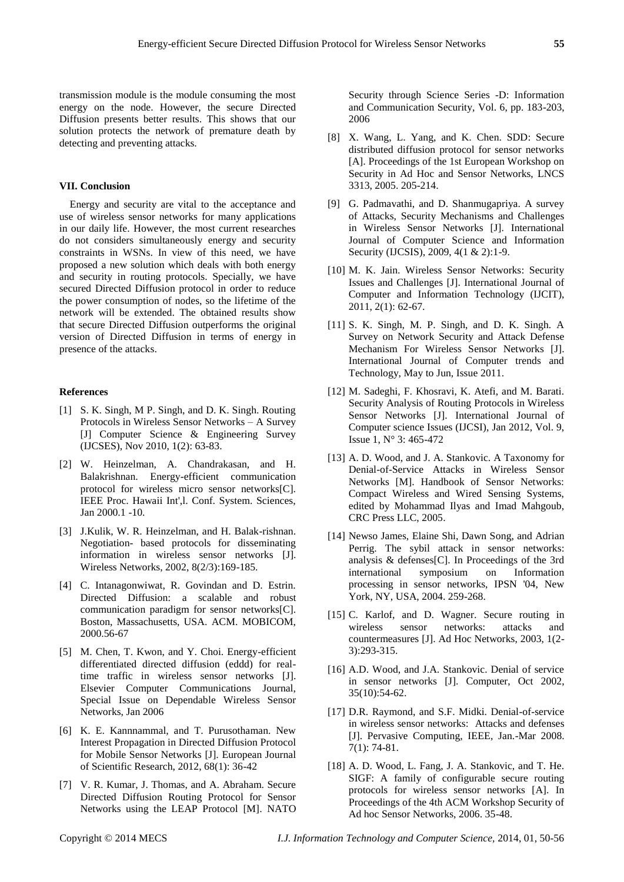transmission module is the module consuming the most energy on the node. However, the secure Directed Diffusion presents better results. This shows that our solution protects the network of premature death by detecting and preventing attacks.

### **VII. Conclusion**

Energy and security are vital to the acceptance and use of wireless sensor networks for many applications in our daily life. However, the most current researches do not considers simultaneously energy and security constraints in WSNs. In view of this need, we have proposed a new solution which deals with both energy and security in routing protocols. Specially, we have secured Directed Diffusion protocol in order to reduce the power consumption of nodes, so the lifetime of the network will be extended. The obtained results show that secure Directed Diffusion outperforms the original version of Directed Diffusion in terms of energy in presence of the attacks.

### **References**

- [1] S. K. Singh, M P. Singh, and D. K. Singh. Routing Protocols in Wireless Sensor Networks – A Survey [J] Computer Science & Engineering Survey (IJCSES), Nov 2010, 1(2): 63-83.
- [2] W. Heinzelman, A. Chandrakasan, and H. Balakrishnan. Energy-efficient communication protocol for wireless micro sensor networks[C]. IEEE Proc. Hawaii Int',l. Conf. System. Sciences, Jan 2000.1 -10.
- [3] J.Kulik, W. R. Heinzelman, and H. Balak-rishnan. Negotiation- based protocols for disseminating information in wireless sensor networks [J]. Wireless Networks, 2002, 8(2/3):169-185.
- [4] C. Intanagonwiwat, R. Govindan and D. Estrin. Directed Diffusion: a scalable and robust communication paradigm for sensor networks[C]. Boston, Massachusetts, USA. ACM. MOBICOM, 2000.56-67
- [5] M. Chen, T. Kwon, and Y. Choi. Energy-efficient differentiated directed diffusion (eddd) for realtime traffic in wireless sensor networks [J]. Elsevier Computer Communications Journal, Special Issue on Dependable Wireless Sensor Networks, Jan 2006
- [6] K. E. Kannnammal, and T. Purusothaman. New Interest Propagation in Directed Diffusion Protocol for Mobile Sensor Networks [J]. European Journal of Scientific Research, 2012, 68(1): 36-42
- [7] V. R. Kumar, J. Thomas, and A. Abraham. Secure Directed Diffusion Routing Protocol for Sensor Networks using the LEAP Protocol [M]. NATO

Security through Science Series -D: Information and Communication Security, Vol. 6, pp. 183-203, 2006

- [8] X. Wang, L. Yang, and K. Chen. SDD: Secure distributed diffusion protocol for sensor networks [A]. Proceedings of the 1st European Workshop on Security in Ad Hoc and Sensor Networks, LNCS 3313, 2005. 205-214.
- [9] G. Padmavathi, and D. Shanmugapriya. A survey of Attacks, Security Mechanisms and Challenges in Wireless Sensor Networks [J]. International Journal of Computer Science and Information Security (IJCSIS), 2009, 4(1 & 2):1-9.
- [10] M. K. Jain. Wireless Sensor Networks: Security Issues and Challenges [J]. International Journal of Computer and Information Technology (IJCIT), 2011, 2(1): 62-67.
- [11] S. K. Singh, M. P. Singh, and D. K. Singh. A Survey on Network Security and Attack Defense Mechanism For Wireless Sensor Networks [J]. International Journal of Computer trends and Technology, May to Jun, Issue 2011.
- [12] M. Sadeghi, F. Khosravi, K. Atefi, and M. Barati. Security Analysis of Routing Protocols in Wireless Sensor Networks [J]. International Journal of Computer science Issues (IJCSI), Jan 2012, Vol. 9, Issue 1, N° 3: 465-472
- [13] A. D. Wood, and J. A. Stankovic. A Taxonomy for Denial-of-Service Attacks in Wireless Sensor Networks [M]. Handbook of Sensor Networks: Compact Wireless and Wired Sensing Systems, edited by Mohammad Ilyas and Imad Mahgoub, CRC Press LLC, 2005.
- [14] Newso James, Elaine Shi, Dawn Song, and Adrian Perrig. The sybil attack in sensor networks: analysis & defenses[C]. In Proceedings of the 3rd international symposium on Information processing in sensor networks, IPSN '04, New York, NY, USA, 2004. 259-268.
- [15] C. Karlof, and D. Wagner. Secure routing in wireless sensor networks: attacks and countermeasures [J]. Ad Hoc Networks, 2003, 1(2- 3):293-315.
- [16] A.D. Wood, and J.A. Stankovic. Denial of service in sensor networks [J]. Computer, Oct 2002, 35(10):54-62.
- [17] D.R. Raymond, and S.F. Midki. Denial-of-service in wireless sensor networks: Attacks and defenses [J]. Pervasive Computing, IEEE, Jan.-Mar 2008. 7(1): 74-81.
- [18] A. D. Wood, L. Fang, J. A. Stankovic, and T. He. SIGF: A family of configurable secure routing protocols for wireless sensor networks [A]. In Proceedings of the 4th ACM Workshop Security of Ad hoc Sensor Networks, 2006. 35-48.